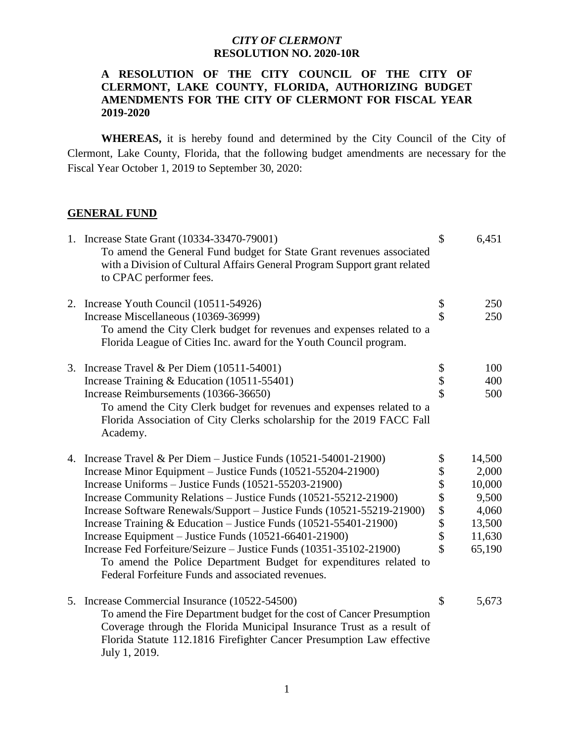## *CITY OF CLERMONT* **RESOLUTION NO. 2020-10R**

## **A RESOLUTION OF THE CITY COUNCIL OF THE CITY OF CLERMONT, LAKE COUNTY, FLORIDA, AUTHORIZING BUDGET AMENDMENTS FOR THE CITY OF CLERMONT FOR FISCAL YEAR 2019-2020**

 **WHEREAS,** it is hereby found and determined by the City Council of the City of Clermont, Lake County, Florida, that the following budget amendments are necessary for the Fiscal Year October 1, 2019 to September 30, 2020:

## **GENERAL FUND**

| 1. Increase State Grant (10334-33470-79001)<br>To amend the General Fund budget for State Grant revenues associated<br>with a Division of Cultural Affairs General Program Support grant related<br>to CPAC performer fees.                                                                 | \$                  | 6,451  |
|---------------------------------------------------------------------------------------------------------------------------------------------------------------------------------------------------------------------------------------------------------------------------------------------|---------------------|--------|
| 2. Increase Youth Council (10511-54926)                                                                                                                                                                                                                                                     |                     | 250    |
| Increase Miscellaneous (10369-36999)                                                                                                                                                                                                                                                        | \$\$                | 250    |
| To amend the City Clerk budget for revenues and expenses related to a<br>Florida League of Cities Inc. award for the Youth Council program.                                                                                                                                                 |                     |        |
| 3. Increase Travel & Per Diem $(10511-54001)$                                                                                                                                                                                                                                               |                     | 100    |
| Increase Training & Education (10511-55401)                                                                                                                                                                                                                                                 | \$<br>\$            | 400    |
| Increase Reimbursements (10366-36650)                                                                                                                                                                                                                                                       | \$                  | 500    |
| To amend the City Clerk budget for revenues and expenses related to a<br>Florida Association of City Clerks scholarship for the 2019 FACC Fall<br>Academy.                                                                                                                                  |                     |        |
| 4. Increase Travel & Per Diem - Justice Funds (10521-54001-21900)                                                                                                                                                                                                                           | \$                  | 14,500 |
| Increase Minor Equipment – Justice Funds (10521-55204-21900)                                                                                                                                                                                                                                |                     | 2,000  |
| Increase Uniforms – Justice Funds (10521-55203-21900)                                                                                                                                                                                                                                       |                     | 10,000 |
| Increase Community Relations - Justice Funds (10521-55212-21900)                                                                                                                                                                                                                            |                     | 9,500  |
| Increase Software Renewals/Support - Justice Funds (10521-55219-21900)                                                                                                                                                                                                                      |                     | 4,060  |
| Increase Training & Education - Justice Funds (10521-55401-21900)                                                                                                                                                                                                                           | \$\$\$\$\$\$        | 13,500 |
| Increase Equipment – Justice Funds (10521-66401-21900)                                                                                                                                                                                                                                      |                     | 11,630 |
| Increase Fed Forfeiture/Seizure - Justice Funds (10351-35102-21900)<br>To amend the Police Department Budget for expenditures related to<br>Federal Forfeiture Funds and associated revenues.                                                                                               | $\hat{\mathcal{S}}$ | 65,190 |
| 5. Increase Commercial Insurance (10522-54500)<br>To amend the Fire Department budget for the cost of Cancer Presumption<br>Coverage through the Florida Municipal Insurance Trust as a result of<br>Florida Statute 112.1816 Firefighter Cancer Presumption Law effective<br>July 1, 2019. | \$                  | 5,673  |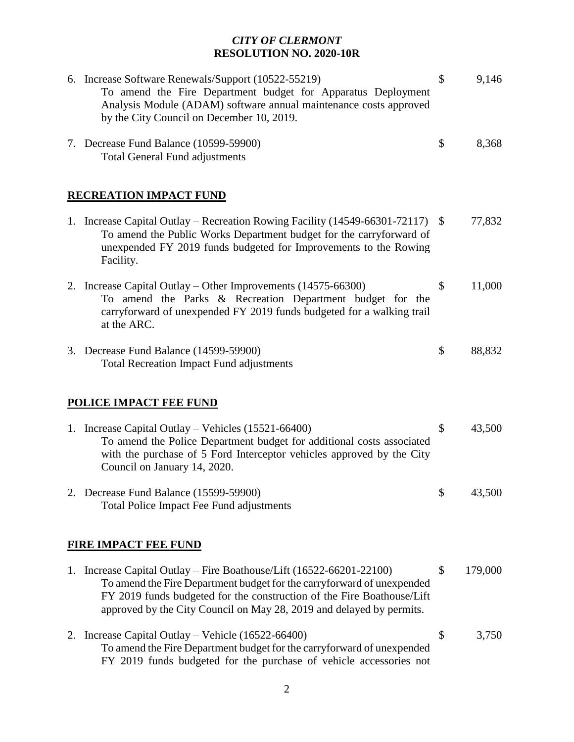## *CITY OF CLERMONT* **RESOLUTION NO. 2020-10R**

| 6. Increase Software Renewals/Support (10522-55219)<br>To amend the Fire Department budget for Apparatus Deployment<br>Analysis Module (ADAM) software annual maintenance costs approved<br>by the City Council on December 10, 2019.                                                            | \$<br>9,146   |
|--------------------------------------------------------------------------------------------------------------------------------------------------------------------------------------------------------------------------------------------------------------------------------------------------|---------------|
| 7. Decrease Fund Balance (10599-59900)<br><b>Total General Fund adjustments</b>                                                                                                                                                                                                                  | \$<br>8,368   |
| <b>RECREATION IMPACT FUND</b>                                                                                                                                                                                                                                                                    |               |
| 1. Increase Capital Outlay – Recreation Rowing Facility (14549-66301-72117) \$<br>To amend the Public Works Department budget for the carryforward of<br>unexpended FY 2019 funds budgeted for Improvements to the Rowing<br>Facility.                                                           | 77,832        |
| 2. Increase Capital Outlay – Other Improvements (14575-66300)<br>To amend the Parks & Recreation Department budget for the<br>carryforward of unexpended FY 2019 funds budgeted for a walking trail<br>at the ARC.                                                                               | \$<br>11,000  |
| 3. Decrease Fund Balance (14599-59900)<br><b>Total Recreation Impact Fund adjustments</b>                                                                                                                                                                                                        | \$<br>88,832  |
| <b>POLICE IMPACT FEE FUND</b>                                                                                                                                                                                                                                                                    |               |
| 1. Increase Capital Outlay – Vehicles (15521-66400)<br>To amend the Police Department budget for additional costs associated<br>with the purchase of 5 Ford Interceptor vehicles approved by the City<br>Council on January 14, 2020.                                                            | \$<br>43,500  |
| 2. Decrease Fund Balance (15599-59900)<br>Total Police Impact Fee Fund adjustments                                                                                                                                                                                                               | \$<br>43,500  |
| <b>FIRE IMPACT FEE FUND</b>                                                                                                                                                                                                                                                                      |               |
| 1. Increase Capital Outlay – Fire Boathouse/Lift (16522-66201-22100)<br>To amend the Fire Department budget for the carryforward of unexpended<br>FY 2019 funds budgeted for the construction of the Fire Boathouse/Lift<br>approved by the City Council on May 28, 2019 and delayed by permits. | \$<br>179,000 |
| 2. Increase Capital Outlay – Vehicle $(16522-66400)$<br>To amend the Fire Department budget for the carryforward of unexpended<br>FY 2019 funds budgeted for the purchase of vehicle accessories not                                                                                             | \$<br>3,750   |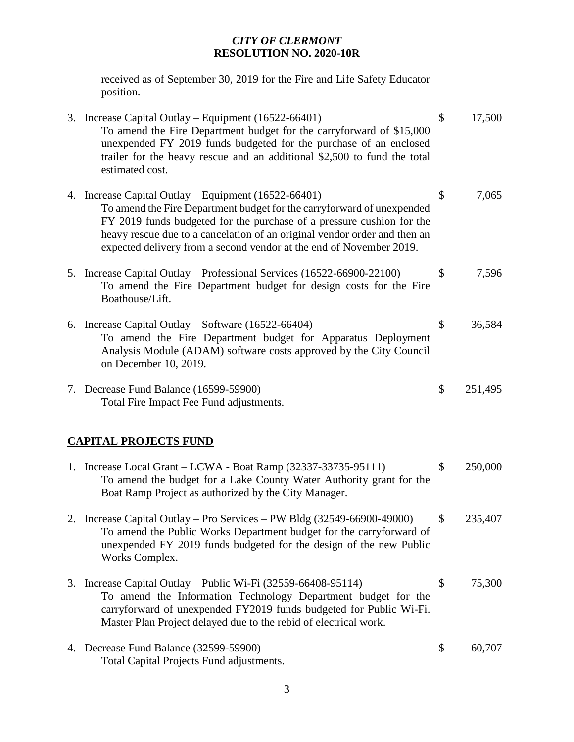## *CITY OF CLERMONT* **RESOLUTION NO. 2020-10R**

 received as of September 30, 2019 for the Fire and Life Safety Educator position.

|                              | 3. Increase Capital Outlay – Equipment (16522-66401)<br>To amend the Fire Department budget for the carryforward of \$15,000<br>unexpended FY 2019 funds budgeted for the purchase of an enclosed<br>trailer for the heavy rescue and an additional \$2,500 to fund the total<br>estimated cost.                                                            | \$ | 17,500  |
|------------------------------|-------------------------------------------------------------------------------------------------------------------------------------------------------------------------------------------------------------------------------------------------------------------------------------------------------------------------------------------------------------|----|---------|
|                              | 4. Increase Capital Outlay – Equipment (16522-66401)<br>To amend the Fire Department budget for the carryforward of unexpended<br>FY 2019 funds budgeted for the purchase of a pressure cushion for the<br>heavy rescue due to a cancelation of an original vendor order and then an<br>expected delivery from a second vendor at the end of November 2019. | \$ | 7,065   |
|                              | 5. Increase Capital Outlay – Professional Services (16522-66900-22100)<br>To amend the Fire Department budget for design costs for the Fire<br>Boathouse/Lift.                                                                                                                                                                                              | \$ | 7,596   |
|                              | 6. Increase Capital Outlay – Software $(16522 - 66404)$<br>To amend the Fire Department budget for Apparatus Deployment<br>Analysis Module (ADAM) software costs approved by the City Council<br>on December 10, 2019.                                                                                                                                      | \$ | 36,584  |
|                              | 7. Decrease Fund Balance (16599-59900)<br>Total Fire Impact Fee Fund adjustments.                                                                                                                                                                                                                                                                           | \$ | 251,495 |
| <b>CAPITAL PROJECTS FUND</b> |                                                                                                                                                                                                                                                                                                                                                             |    |         |
|                              | 1. Increase Local Grant – LCWA - Boat Ramp (32337-33735-95111)<br>To amend the budget for a Lake County Water Authority grant for the<br>Boat Ramp Project as authorized by the City Manager.                                                                                                                                                               | \$ | 250,000 |
|                              | 2. Increase Capital Outlay – Pro Services – PW Bldg (32549-66900-49000)<br>To amend the Public Works Department budget for the carryforward of<br>unexpended FY 2019 funds budgeted for the design of the new Public<br>Works Complex.                                                                                                                      | \$ | 235,407 |
|                              | 3. Increase Capital Outlay – Public Wi-Fi (32559-66408-95114)<br>To amend the Information Technology Department budget for the<br>carryforward of unexpended FY2019 funds budgeted for Public Wi-Fi.<br>Master Plan Project delayed due to the rebid of electrical work.                                                                                    | \$ | 75,300  |
|                              | 4. Decrease Fund Balance (32599-59900)                                                                                                                                                                                                                                                                                                                      | \$ | 60,707  |

Total Capital Projects Fund adjustments.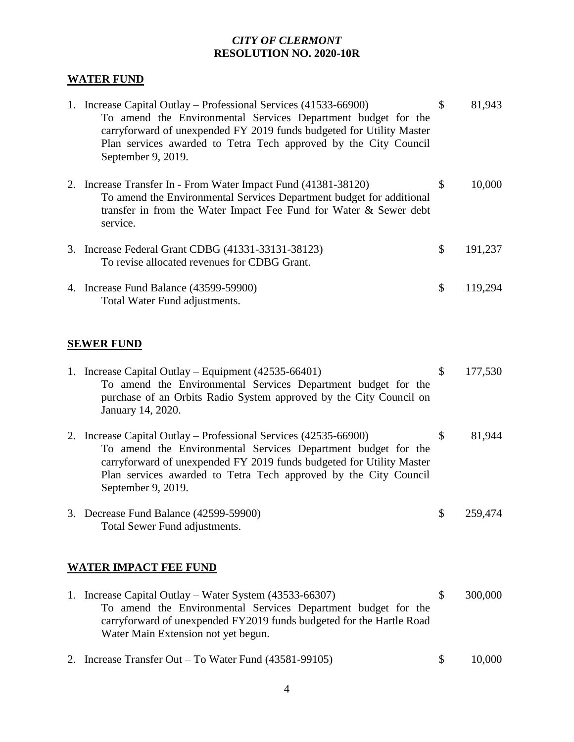# *CITY OF CLERMONT* **RESOLUTION NO. 2020-10R**

# **WATER FUND**

| 1. Increase Capital Outlay – Professional Services (41533-66900)<br>To amend the Environmental Services Department budget for the<br>carryforward of unexpended FY 2019 funds budgeted for Utility Master<br>Plan services awarded to Tetra Tech approved by the City Council<br>September 9, 2019. | \$<br>81,943  |
|-----------------------------------------------------------------------------------------------------------------------------------------------------------------------------------------------------------------------------------------------------------------------------------------------------|---------------|
| 2. Increase Transfer In - From Water Impact Fund (41381-38120)<br>To amend the Environmental Services Department budget for additional<br>transfer in from the Water Impact Fee Fund for Water & Sewer debt<br>service.                                                                             | \$<br>10,000  |
| 3. Increase Federal Grant CDBG (41331-33131-38123)<br>To revise allocated revenues for CDBG Grant.                                                                                                                                                                                                  | \$<br>191,237 |
| 4. Increase Fund Balance (43599-59900)<br>Total Water Fund adjustments.                                                                                                                                                                                                                             | \$<br>119,294 |
| <b>SEWER FUND</b>                                                                                                                                                                                                                                                                                   |               |
| 1. Increase Capital Outlay – Equipment (42535-66401)<br>To amend the Environmental Services Department budget for the<br>purchase of an Orbits Radio System approved by the City Council on<br>January 14, 2020.                                                                                    | \$<br>177,530 |
| 2. Increase Capital Outlay - Professional Services (42535-66900)<br>To amend the Environmental Services Department budget for the<br>carryforward of unexpended FY 2019 funds budgeted for Utility Master<br>Plan services awarded to Tetra Tech approved by the City Council<br>September 9, 2019. | \$<br>81,944  |
| 3. Decrease Fund Balance (42599-59900)<br>Total Sewer Fund adjustments.                                                                                                                                                                                                                             | 259,474       |
| <b>WATER IMPACT FEE FUND</b>                                                                                                                                                                                                                                                                        |               |
| 1. Increase Capital Outlay – Water System (43533-66307)<br>To amend the Environmental Services Department budget for the<br>carryforward of unexpended FY2019 funds budgeted for the Hartle Road<br>Water Main Extension not yet begun.                                                             | \$<br>300,000 |

2. Increase Transfer Out – To Water Fund (43581-99105) \$ 10,000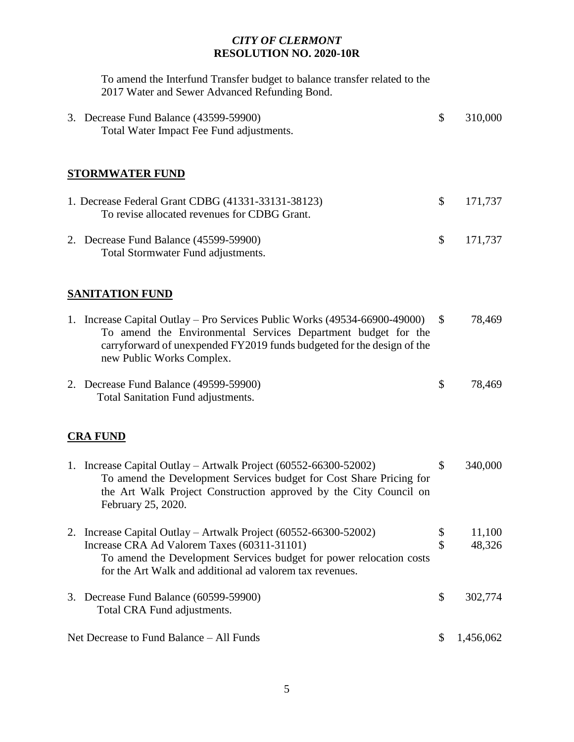## *CITY OF CLERMONT* **RESOLUTION NO. 2020-10R**

To amend the Interfund Transfer budget to balance transfer related to the 2017 Water and Sewer Advanced Refunding Bond.

| 3. Decrease Fund Balance (43599-59900)<br>Total Water Impact Fee Fund adjustments.                                                                                                                                                                 | \$           | 310,000   |
|----------------------------------------------------------------------------------------------------------------------------------------------------------------------------------------------------------------------------------------------------|--------------|-----------|
| <b>STORMWATER FUND</b>                                                                                                                                                                                                                             |              |           |
| 1. Decrease Federal Grant CDBG (41331-33131-38123)<br>To revise allocated revenues for CDBG Grant.                                                                                                                                                 | \$           | 171,737   |
| 2. Decrease Fund Balance (45599-59900)<br>Total Stormwater Fund adjustments.                                                                                                                                                                       | \$           | 171,737   |
| <b>SANITATION FUND</b>                                                                                                                                                                                                                             |              |           |
| 1. Increase Capital Outlay – Pro Services Public Works (49534-66900-49000)<br>To amend the Environmental Services Department budget for the<br>carryforward of unexpended FY2019 funds budgeted for the design of the<br>new Public Works Complex. | $\mathbb{S}$ | 78,469    |
| 2. Decrease Fund Balance (49599-59900)<br>Total Sanitation Fund adjustments.                                                                                                                                                                       | \$           | 78,469    |
| <b>CRA FUND</b>                                                                                                                                                                                                                                    |              |           |
| 1. Increase Capital Outlay – Artwalk Project (60552-66300-52002)<br>To amend the Development Services budget for Cost Share Pricing for<br>the Art Walk Project Construction approved by the City Council on<br>February 25, 2020.                 | \$           | 340,000   |
| 2. Increase Capital Outlay - Artwalk Project (60552-66300-52002)                                                                                                                                                                                   | P            | 11,100    |
| Increase CRA Ad Valorem Taxes (60311-31101)<br>To amend the Development Services budget for power relocation costs<br>for the Art Walk and additional ad valorem tax revenues.                                                                     | \$           | 48,326    |
| 3. Decrease Fund Balance (60599-59900)<br>Total CRA Fund adjustments.                                                                                                                                                                              | \$           | 302,774   |
| Net Decrease to Fund Balance – All Funds                                                                                                                                                                                                           | \$           | 1,456,062 |